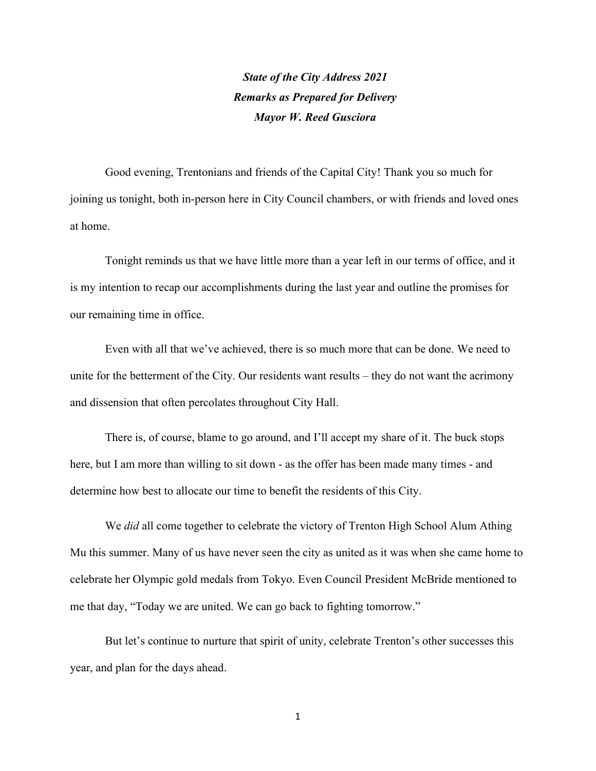State of the City Address 2021 Remarks as Prepared for Delivery Mayor W. Reed Gusciora

Good evening, Trentonians and friends of the Capital City! Thank you so much for joining us tonight, both in-person here in City Council chambers, or with friends and loved ones at home.

Tonight reminds us that we have little more than a year left in our terms of office, and it is my intention to recap our accomplishments during the last year and outline the promises for our remaining time in office.

Even with all that we've achieved, there is so much more that can be done. We need to unite for the betterment of the City. Our residents want results – they do not want the acrimony and dissension that often percolates throughout City Hall.

There is, of course, blame to go around, and I'll accept my share of it. The buck stops here, but I am more than willing to sit down - as the offer has been made many times - and determine how best to allocate our time to benefit the residents of this City.

We *did* all come together to celebrate the victory of Trenton High School Alum Athing Mu this summer. Many of us have never seen the city as united as it was when she came home to celebrate her Olympic gold medals from Tokyo. Even Council President McBride mentioned to me that day, "Today we are united. We can go back to fighting tomorrow."

But let's continue to nurture that spirit of unity, celebrate Trenton's other successes this year, and plan for the days ahead.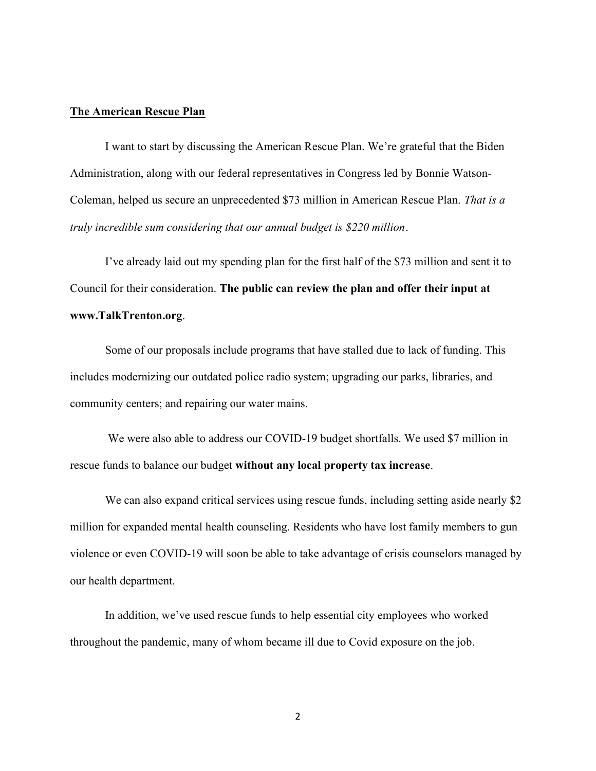## The American Rescue Plan

I want to start by discussing the American Rescue Plan. We're grateful that the Biden Administration, along with our federal representatives in Congress led by Bonnie Watson-Coleman, helped us secure an unprecedented \$73 million in American Rescue Plan. That is a truly incredible sum considering that our annual budget is \$220 million.

I've already laid out my spending plan for the first half of the \$73 million and sent it to Council for their consideration. The public can review the plan and offer their input at www.TalkTrenton.org.

Some of our proposals include programs that have stalled due to lack of funding. This includes modernizing our outdated police radio system; upgrading our parks, libraries, and community centers; and repairing our water mains.

 We were also able to address our COVID-19 budget shortfalls. We used \$7 million in rescue funds to balance our budget without any local property tax increase.

We can also expand critical services using rescue funds, including setting aside nearly \$2 million for expanded mental health counseling. Residents who have lost family members to gun violence or even COVID-19 will soon be able to take advantage of crisis counselors managed by our health department.

In addition, we've used rescue funds to help essential city employees who worked throughout the pandemic, many of whom became ill due to Covid exposure on the job.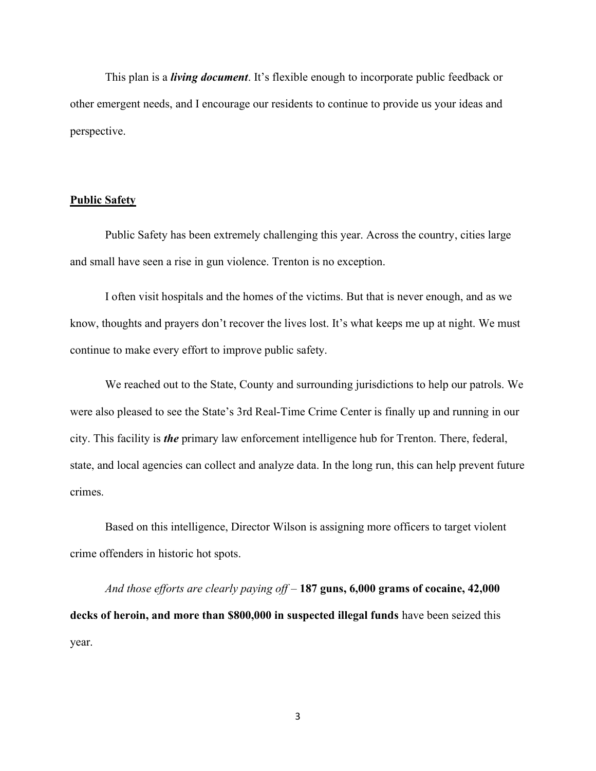This plan is a *living document*. It's flexible enough to incorporate public feedback or other emergent needs, and I encourage our residents to continue to provide us your ideas and perspective.

### Public Safety

Public Safety has been extremely challenging this year. Across the country, cities large and small have seen a rise in gun violence. Trenton is no exception.

I often visit hospitals and the homes of the victims. But that is never enough, and as we know, thoughts and prayers don't recover the lives lost. It's what keeps me up at night. We must continue to make every effort to improve public safety.

We reached out to the State, County and surrounding jurisdictions to help our patrols. We were also pleased to see the State's 3rd Real-Time Crime Center is finally up and running in our city. This facility is the primary law enforcement intelligence hub for Trenton. There, federal, state, and local agencies can collect and analyze data. In the long run, this can help prevent future crimes.

Based on this intelligence, Director Wilson is assigning more officers to target violent crime offenders in historic hot spots.

And those efforts are clearly paying of  $f - 187$  guns, 6,000 grams of cocaine, 42,000 decks of heroin, and more than \$800,000 in suspected illegal funds have been seized this year.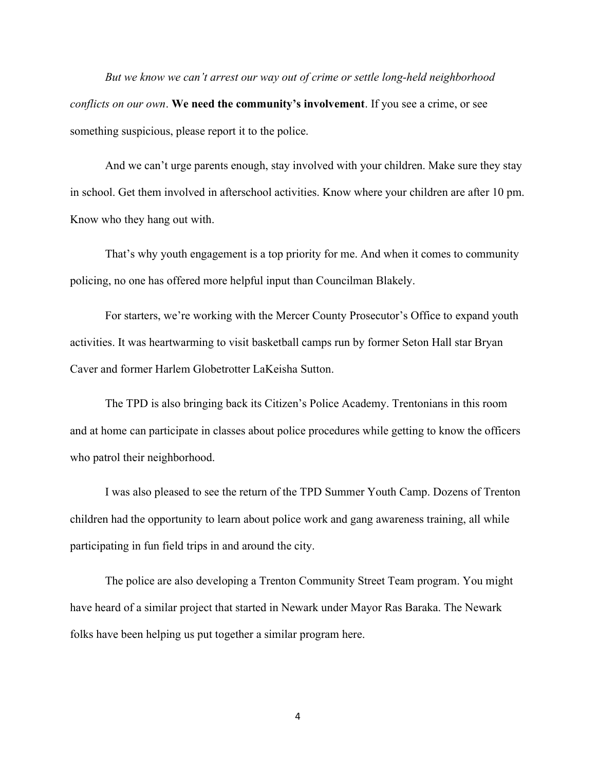But we know we can't arrest our way out of crime or settle long-held neighborhood conflicts on our own. We need the community's involvement. If you see a crime, or see something suspicious, please report it to the police.

And we can't urge parents enough, stay involved with your children. Make sure they stay in school. Get them involved in afterschool activities. Know where your children are after 10 pm. Know who they hang out with.

That's why youth engagement is a top priority for me. And when it comes to community policing, no one has offered more helpful input than Councilman Blakely.

For starters, we're working with the Mercer County Prosecutor's Office to expand youth activities. It was heartwarming to visit basketball camps run by former Seton Hall star Bryan Caver and former Harlem Globetrotter LaKeisha Sutton.

The TPD is also bringing back its Citizen's Police Academy. Trentonians in this room and at home can participate in classes about police procedures while getting to know the officers who patrol their neighborhood.

I was also pleased to see the return of the TPD Summer Youth Camp. Dozens of Trenton children had the opportunity to learn about police work and gang awareness training, all while participating in fun field trips in and around the city.

The police are also developing a Trenton Community Street Team program. You might have heard of a similar project that started in Newark under Mayor Ras Baraka. The Newark folks have been helping us put together a similar program here.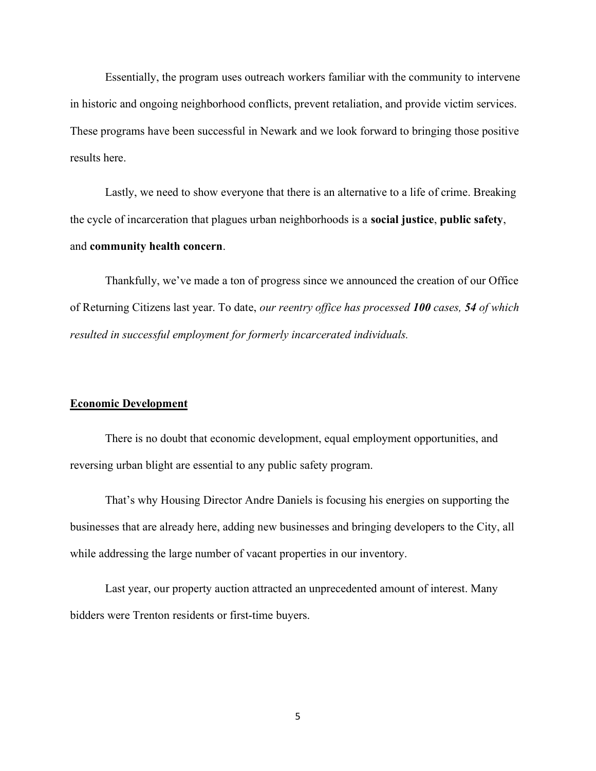Essentially, the program uses outreach workers familiar with the community to intervene in historic and ongoing neighborhood conflicts, prevent retaliation, and provide victim services. These programs have been successful in Newark and we look forward to bringing those positive results here.

Lastly, we need to show everyone that there is an alternative to a life of crime. Breaking the cycle of incarceration that plagues urban neighborhoods is a social justice, public safety, and community health concern.

Thankfully, we've made a ton of progress since we announced the creation of our Office of Returning Citizens last year. To date, our reentry office has processed 100 cases, 54 of which resulted in successful employment for formerly incarcerated individuals.

## Economic Development

There is no doubt that economic development, equal employment opportunities, and reversing urban blight are essential to any public safety program.

That's why Housing Director Andre Daniels is focusing his energies on supporting the businesses that are already here, adding new businesses and bringing developers to the City, all while addressing the large number of vacant properties in our inventory.

Last year, our property auction attracted an unprecedented amount of interest. Many bidders were Trenton residents or first-time buyers.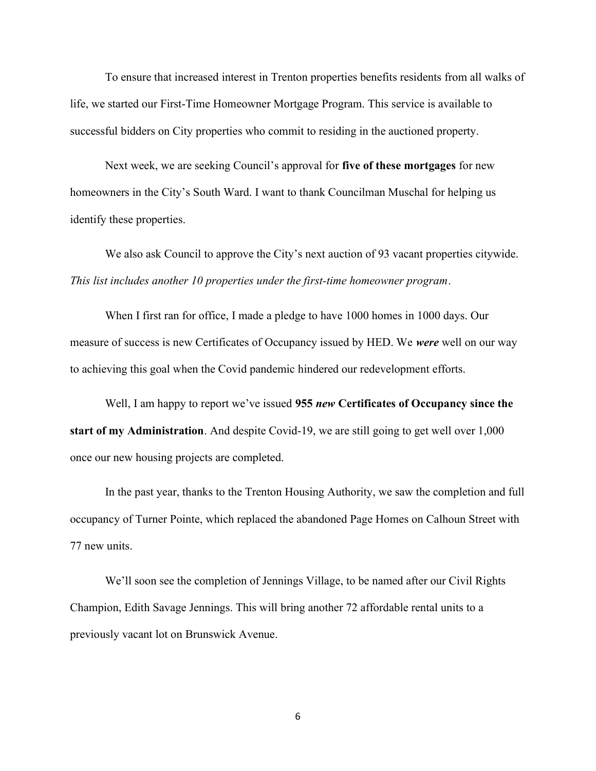To ensure that increased interest in Trenton properties benefits residents from all walks of life, we started our First-Time Homeowner Mortgage Program. This service is available to successful bidders on City properties who commit to residing in the auctioned property.

Next week, we are seeking Council's approval for five of these mortgages for new homeowners in the City's South Ward. I want to thank Councilman Muschal for helping us identify these properties.

We also ask Council to approve the City's next auction of 93 vacant properties citywide. This list includes another 10 properties under the first-time homeowner program.

When I first ran for office, I made a pledge to have 1000 homes in 1000 days. Our measure of success is new Certificates of Occupancy issued by HED. We were well on our way to achieving this goal when the Covid pandemic hindered our redevelopment efforts.

Well, I am happy to report we've issued 955 new Certificates of Occupancy since the start of my Administration. And despite Covid-19, we are still going to get well over 1,000 once our new housing projects are completed.

In the past year, thanks to the Trenton Housing Authority, we saw the completion and full occupancy of Turner Pointe, which replaced the abandoned Page Homes on Calhoun Street with 77 new units.

We'll soon see the completion of Jennings Village, to be named after our Civil Rights Champion, Edith Savage Jennings. This will bring another 72 affordable rental units to a previously vacant lot on Brunswick Avenue.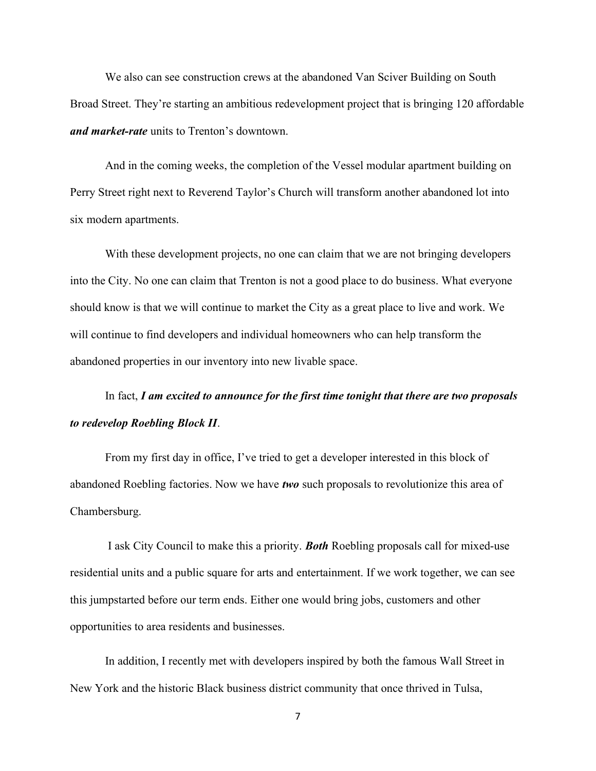We also can see construction crews at the abandoned Van Sciver Building on South Broad Street. They're starting an ambitious redevelopment project that is bringing 120 affordable and market-rate units to Trenton's downtown.

And in the coming weeks, the completion of the Vessel modular apartment building on Perry Street right next to Reverend Taylor's Church will transform another abandoned lot into six modern apartments.

With these development projects, no one can claim that we are not bringing developers into the City. No one can claim that Trenton is not a good place to do business. What everyone should know is that we will continue to market the City as a great place to live and work. We will continue to find developers and individual homeowners who can help transform the abandoned properties in our inventory into new livable space.

# In fact,  $I$  am excited to announce for the first time tonight that there are two proposals to redevelop Roebling Block II.

From my first day in office, I've tried to get a developer interested in this block of abandoned Roebling factories. Now we have two such proposals to revolutionize this area of Chambersburg.

 I ask City Council to make this a priority. Both Roebling proposals call for mixed-use residential units and a public square for arts and entertainment. If we work together, we can see this jumpstarted before our term ends. Either one would bring jobs, customers and other opportunities to area residents and businesses.

In addition, I recently met with developers inspired by both the famous Wall Street in New York and the historic Black business district community that once thrived in Tulsa,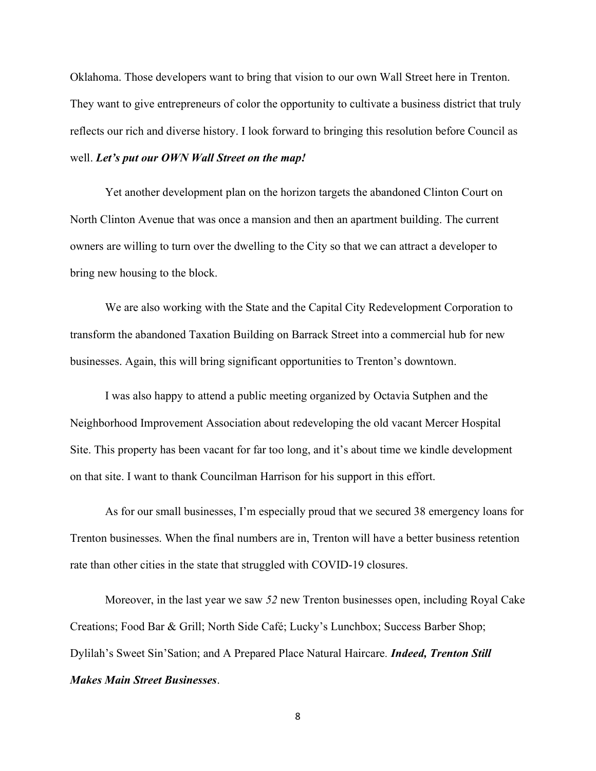Oklahoma. Those developers want to bring that vision to our own Wall Street here in Trenton. They want to give entrepreneurs of color the opportunity to cultivate a business district that truly reflects our rich and diverse history. I look forward to bringing this resolution before Council as well. Let's put our OWN Wall Street on the map!

Yet another development plan on the horizon targets the abandoned Clinton Court on North Clinton Avenue that was once a mansion and then an apartment building. The current owners are willing to turn over the dwelling to the City so that we can attract a developer to bring new housing to the block.

We are also working with the State and the Capital City Redevelopment Corporation to transform the abandoned Taxation Building on Barrack Street into a commercial hub for new businesses. Again, this will bring significant opportunities to Trenton's downtown.

I was also happy to attend a public meeting organized by Octavia Sutphen and the Neighborhood Improvement Association about redeveloping the old vacant Mercer Hospital Site. This property has been vacant for far too long, and it's about time we kindle development on that site. I want to thank Councilman Harrison for his support in this effort.

As for our small businesses, I'm especially proud that we secured 38 emergency loans for Trenton businesses. When the final numbers are in, Trenton will have a better business retention rate than other cities in the state that struggled with COVID-19 closures.

Moreover, in the last year we saw 52 new Trenton businesses open, including Royal Cake Creations; Food Bar & Grill; North Side Café; Lucky's Lunchbox; Success Barber Shop; Dylilah's Sweet Sin'Sation; and A Prepared Place Natural Haircare. *Indeed, Trenton Still* Makes Main Street Businesses.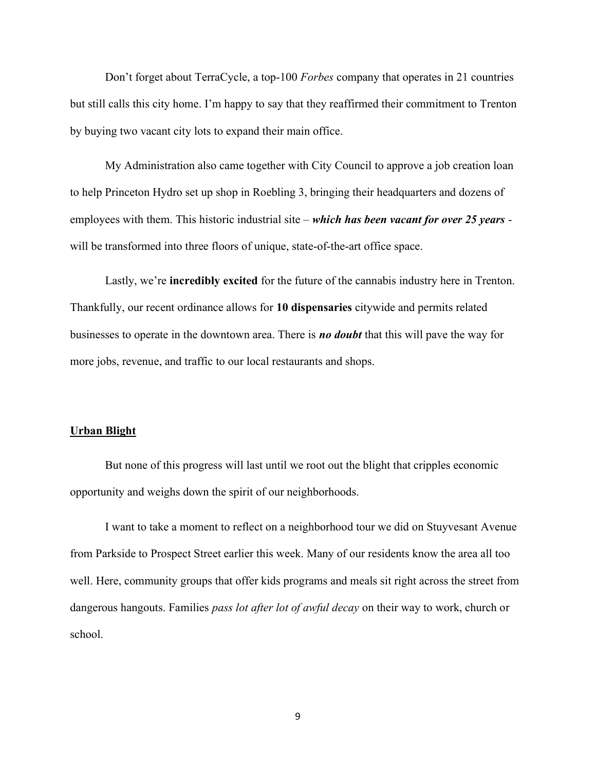Don't forget about TerraCycle, a top-100 Forbes company that operates in 21 countries but still calls this city home. I'm happy to say that they reaffirmed their commitment to Trenton by buying two vacant city lots to expand their main office.

My Administration also came together with City Council to approve a job creation loan to help Princeton Hydro set up shop in Roebling 3, bringing their headquarters and dozens of employees with them. This historic industrial site – which has been vacant for over 25 years will be transformed into three floors of unique, state-of-the-art office space.

Lastly, we're **incredibly excited** for the future of the cannabis industry here in Trenton. Thankfully, our recent ordinance allows for 10 dispensaries citywide and permits related businesses to operate in the downtown area. There is *no doubt* that this will pave the way for more jobs, revenue, and traffic to our local restaurants and shops.

## Urban Blight

But none of this progress will last until we root out the blight that cripples economic opportunity and weighs down the spirit of our neighborhoods.

I want to take a moment to reflect on a neighborhood tour we did on Stuyvesant Avenue from Parkside to Prospect Street earlier this week. Many of our residents know the area all too well. Here, community groups that offer kids programs and meals sit right across the street from dangerous hangouts. Families pass lot after lot of awful decay on their way to work, church or school.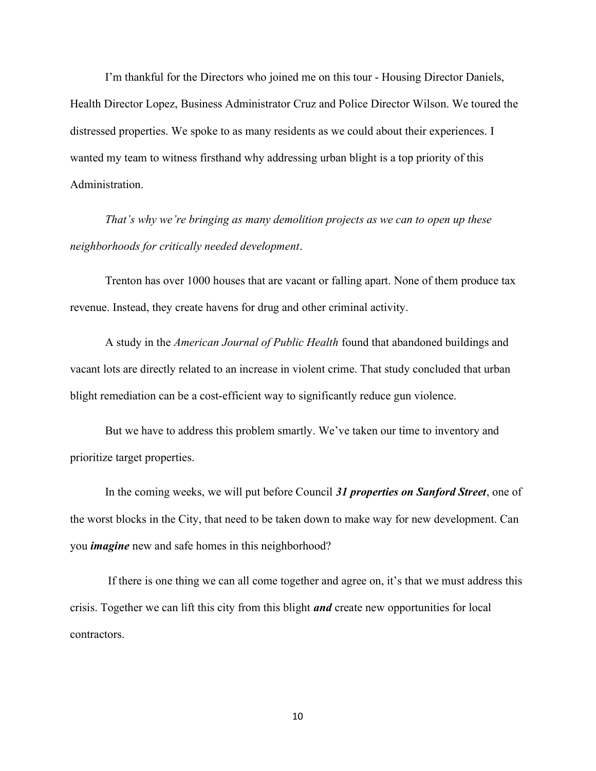I'm thankful for the Directors who joined me on this tour - Housing Director Daniels, Health Director Lopez, Business Administrator Cruz and Police Director Wilson. We toured the distressed properties. We spoke to as many residents as we could about their experiences. I wanted my team to witness firsthand why addressing urban blight is a top priority of this Administration.

That's why we're bringing as many demolition projects as we can to open up these neighborhoods for critically needed development.

Trenton has over 1000 houses that are vacant or falling apart. None of them produce tax revenue. Instead, they create havens for drug and other criminal activity.

A study in the American Journal of Public Health found that abandoned buildings and vacant lots are directly related to an increase in violent crime. That study concluded that urban blight remediation can be a cost-efficient way to significantly reduce gun violence.

But we have to address this problem smartly. We've taken our time to inventory and prioritize target properties.

In the coming weeks, we will put before Council 31 properties on Sanford Street, one of the worst blocks in the City, that need to be taken down to make way for new development. Can you *imagine* new and safe homes in this neighborhood?

 If there is one thing we can all come together and agree on, it's that we must address this crisis. Together we can lift this city from this blight *and* create new opportunities for local contractors.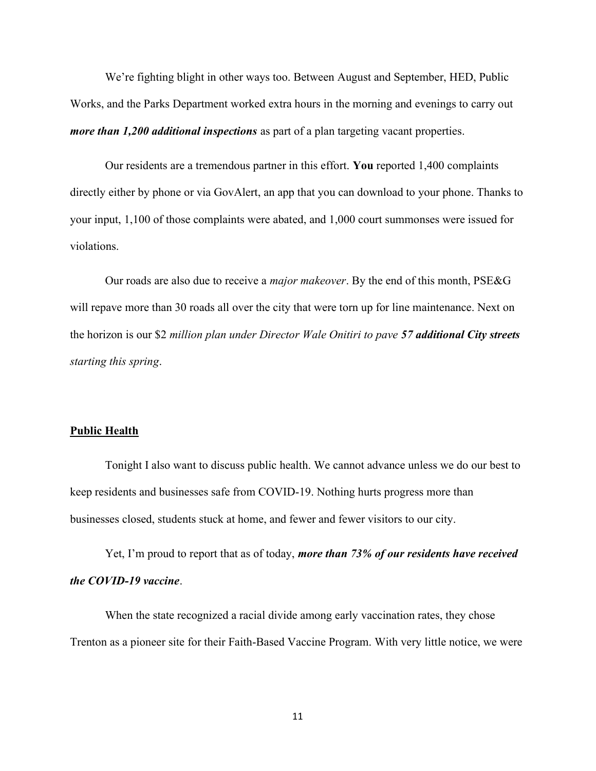We're fighting blight in other ways too. Between August and September, HED, Public Works, and the Parks Department worked extra hours in the morning and evenings to carry out more than 1,200 additional inspections as part of a plan targeting vacant properties.

Our residents are a tremendous partner in this effort. You reported 1,400 complaints directly either by phone or via GovAlert, an app that you can download to your phone. Thanks to your input, 1,100 of those complaints were abated, and 1,000 court summonses were issued for violations.

Our roads are also due to receive a *major makeover*. By the end of this month, PSE&G will repave more than 30 roads all over the city that were torn up for line maintenance. Next on the horizon is our \$2 million plan under Director Wale Onitiri to pave 57 additional City streets starting this spring.

#### Public Health

Tonight I also want to discuss public health. We cannot advance unless we do our best to keep residents and businesses safe from COVID-19. Nothing hurts progress more than businesses closed, students stuck at home, and fewer and fewer visitors to our city.

Yet, I'm proud to report that as of today, more than 73% of our residents have received the COVID-19 vaccine.

When the state recognized a racial divide among early vaccination rates, they chose Trenton as a pioneer site for their Faith-Based Vaccine Program. With very little notice, we were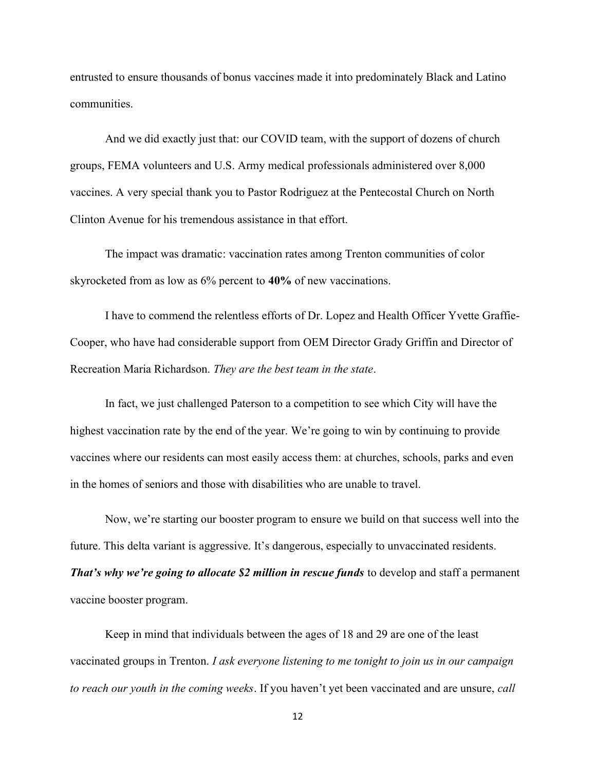entrusted to ensure thousands of bonus vaccines made it into predominately Black and Latino communities.

And we did exactly just that: our COVID team, with the support of dozens of church groups, FEMA volunteers and U.S. Army medical professionals administered over 8,000 vaccines. A very special thank you to Pastor Rodriguez at the Pentecostal Church on North Clinton Avenue for his tremendous assistance in that effort.

The impact was dramatic: vaccination rates among Trenton communities of color skyrocketed from as low as 6% percent to 40% of new vaccinations.

I have to commend the relentless efforts of Dr. Lopez and Health Officer Yvette Graffie-Cooper, who have had considerable support from OEM Director Grady Griffin and Director of Recreation Maria Richardson. They are the best team in the state.

In fact, we just challenged Paterson to a competition to see which City will have the highest vaccination rate by the end of the year. We're going to win by continuing to provide vaccines where our residents can most easily access them: at churches, schools, parks and even in the homes of seniors and those with disabilities who are unable to travel.

Now, we're starting our booster program to ensure we build on that success well into the future. This delta variant is aggressive. It's dangerous, especially to unvaccinated residents. That's why we're going to allocate \$2 million in rescue funds to develop and staff a permanent vaccine booster program.

Keep in mind that individuals between the ages of 18 and 29 are one of the least vaccinated groups in Trenton. I ask everyone listening to me tonight to join us in our campaign to reach our youth in the coming weeks. If you haven't yet been vaccinated and are unsure, call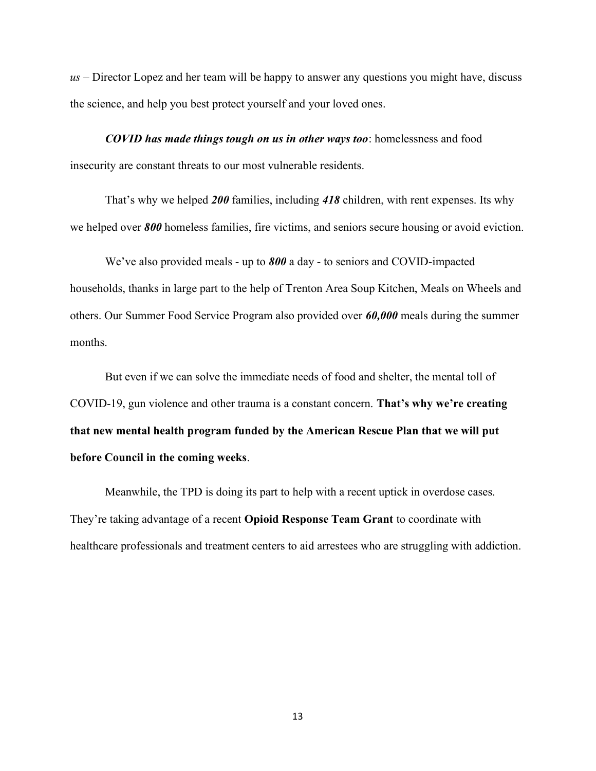$us$  – Director Lopez and her team will be happy to answer any questions you might have, discuss the science, and help you best protect yourself and your loved ones.

COVID has made things tough on us in other ways too: homelessness and food insecurity are constant threats to our most vulnerable residents.

That's why we helped 200 families, including 418 children, with rent expenses. Its why we helped over 800 homeless families, fire victims, and seniors secure housing or avoid eviction.

We've also provided meals - up to 800 a day - to seniors and COVID-impacted households, thanks in large part to the help of Trenton Area Soup Kitchen, Meals on Wheels and others. Our Summer Food Service Program also provided over 60,000 meals during the summer months.

But even if we can solve the immediate needs of food and shelter, the mental toll of COVID-19, gun violence and other trauma is a constant concern. That's why we're creating that new mental health program funded by the American Rescue Plan that we will put before Council in the coming weeks.

Meanwhile, the TPD is doing its part to help with a recent uptick in overdose cases. They're taking advantage of a recent **Opioid Response Team Grant** to coordinate with healthcare professionals and treatment centers to aid arrestees who are struggling with addiction.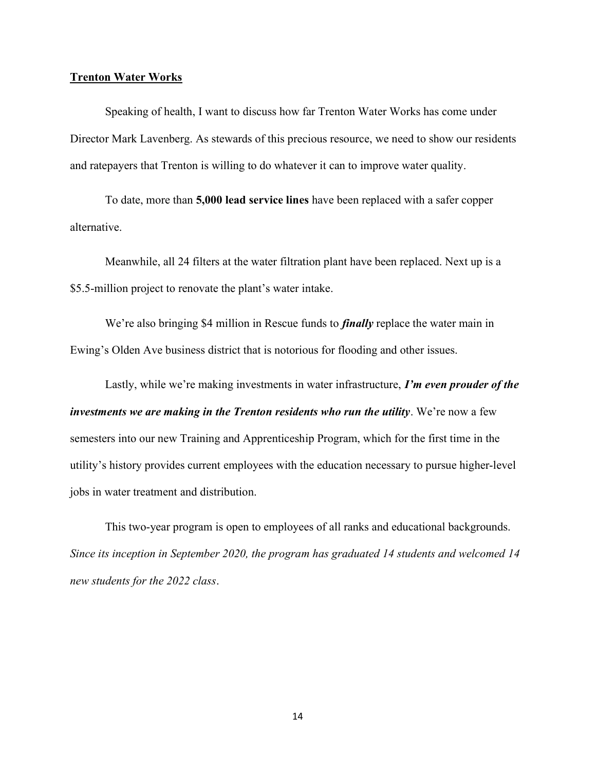# Trenton Water Works

Speaking of health, I want to discuss how far Trenton Water Works has come under Director Mark Lavenberg. As stewards of this precious resource, we need to show our residents and ratepayers that Trenton is willing to do whatever it can to improve water quality.

To date, more than 5,000 lead service lines have been replaced with a safer copper alternative.

Meanwhile, all 24 filters at the water filtration plant have been replaced. Next up is a \$5.5-million project to renovate the plant's water intake.

We're also bringing \$4 million in Rescue funds to *finally* replace the water main in Ewing's Olden Ave business district that is notorious for flooding and other issues.

Lastly, while we're making investments in water infrastructure, I'm even prouder of the investments we are making in the Trenton residents who run the utility. We're now a few semesters into our new Training and Apprenticeship Program, which for the first time in the utility's history provides current employees with the education necessary to pursue higher-level jobs in water treatment and distribution.

This two-year program is open to employees of all ranks and educational backgrounds. Since its inception in September 2020, the program has graduated 14 students and welcomed 14 new students for the 2022 class.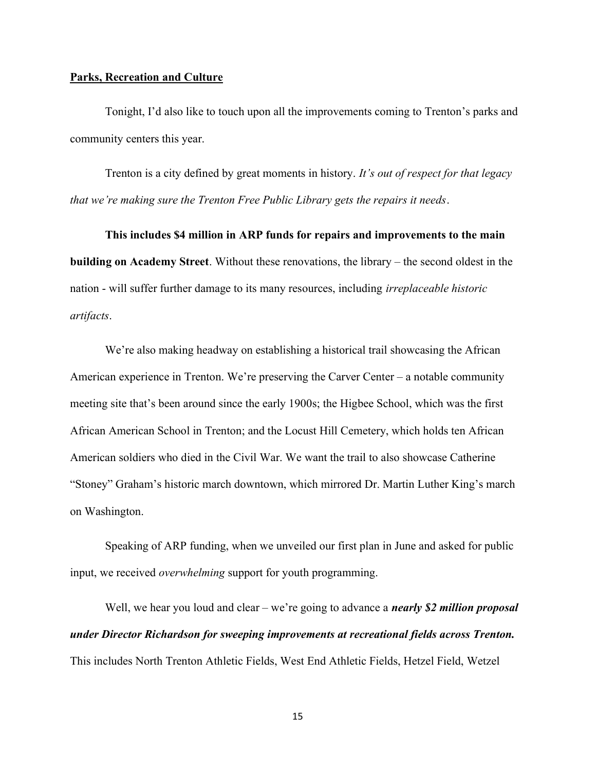#### Parks, Recreation and Culture

Tonight, I'd also like to touch upon all the improvements coming to Trenton's parks and community centers this year.

Trenton is a city defined by great moments in history. It's out of respect for that legacy that we're making sure the Trenton Free Public Library gets the repairs it needs.

This includes \$4 million in ARP funds for repairs and improvements to the main building on Academy Street. Without these renovations, the library – the second oldest in the nation - will suffer further damage to its many resources, including irreplaceable historic artifacts.

We're also making headway on establishing a historical trail showcasing the African American experience in Trenton. We're preserving the Carver Center – a notable community meeting site that's been around since the early 1900s; the Higbee School, which was the first African American School in Trenton; and the Locust Hill Cemetery, which holds ten African American soldiers who died in the Civil War. We want the trail to also showcase Catherine "Stoney" Graham's historic march downtown, which mirrored Dr. Martin Luther King's march on Washington.

Speaking of ARP funding, when we unveiled our first plan in June and asked for public input, we received overwhelming support for youth programming.

Well, we hear you loud and clear – we're going to advance a *nearly* \$2 million proposal under Director Richardson for sweeping improvements at recreational fields across Trenton. This includes North Trenton Athletic Fields, West End Athletic Fields, Hetzel Field, Wetzel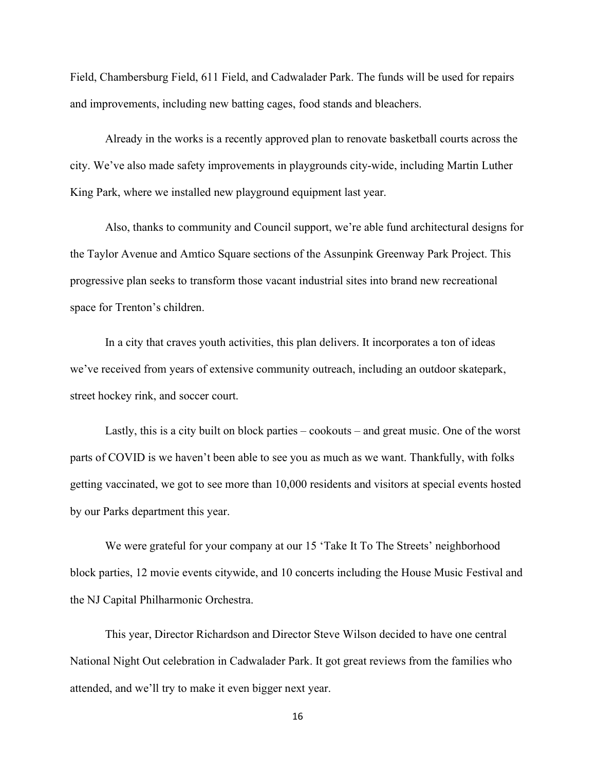Field, Chambersburg Field, 611 Field, and Cadwalader Park. The funds will be used for repairs and improvements, including new batting cages, food stands and bleachers.

Already in the works is a recently approved plan to renovate basketball courts across the city. We've also made safety improvements in playgrounds city-wide, including Martin Luther King Park, where we installed new playground equipment last year.

Also, thanks to community and Council support, we're able fund architectural designs for the Taylor Avenue and Amtico Square sections of the Assunpink Greenway Park Project. This progressive plan seeks to transform those vacant industrial sites into brand new recreational space for Trenton's children.

In a city that craves youth activities, this plan delivers. It incorporates a ton of ideas we've received from years of extensive community outreach, including an outdoor skatepark, street hockey rink, and soccer court.

Lastly, this is a city built on block parties – cookouts – and great music. One of the worst parts of COVID is we haven't been able to see you as much as we want. Thankfully, with folks getting vaccinated, we got to see more than 10,000 residents and visitors at special events hosted by our Parks department this year.

We were grateful for your company at our 15 'Take It To The Streets' neighborhood block parties, 12 movie events citywide, and 10 concerts including the House Music Festival and the NJ Capital Philharmonic Orchestra.

This year, Director Richardson and Director Steve Wilson decided to have one central National Night Out celebration in Cadwalader Park. It got great reviews from the families who attended, and we'll try to make it even bigger next year.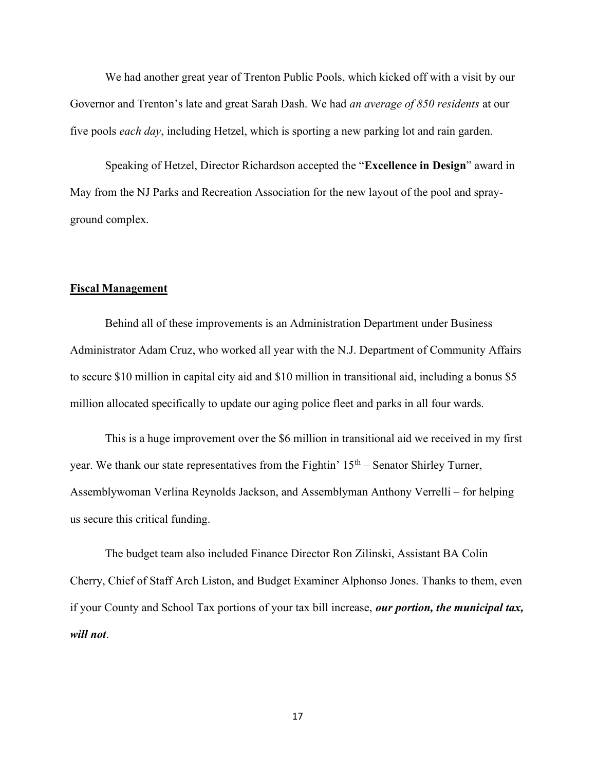We had another great year of Trenton Public Pools, which kicked off with a visit by our Governor and Trenton's late and great Sarah Dash. We had *an average of 850 residents* at our five pools each day, including Hetzel, which is sporting a new parking lot and rain garden.

Speaking of Hetzel, Director Richardson accepted the "Excellence in Design" award in May from the NJ Parks and Recreation Association for the new layout of the pool and sprayground complex.

# Fiscal Management

Behind all of these improvements is an Administration Department under Business Administrator Adam Cruz, who worked all year with the N.J. Department of Community Affairs to secure \$10 million in capital city aid and \$10 million in transitional aid, including a bonus \$5 million allocated specifically to update our aging police fleet and parks in all four wards.

This is a huge improvement over the \$6 million in transitional aid we received in my first year. We thank our state representatives from the Fightin'  $15<sup>th</sup>$  – Senator Shirley Turner, Assemblywoman Verlina Reynolds Jackson, and Assemblyman Anthony Verrelli – for helping us secure this critical funding.

The budget team also included Finance Director Ron Zilinski, Assistant BA Colin Cherry, Chief of Staff Arch Liston, and Budget Examiner Alphonso Jones. Thanks to them, even if your County and School Tax portions of your tax bill increase, our portion, the municipal tax, will not.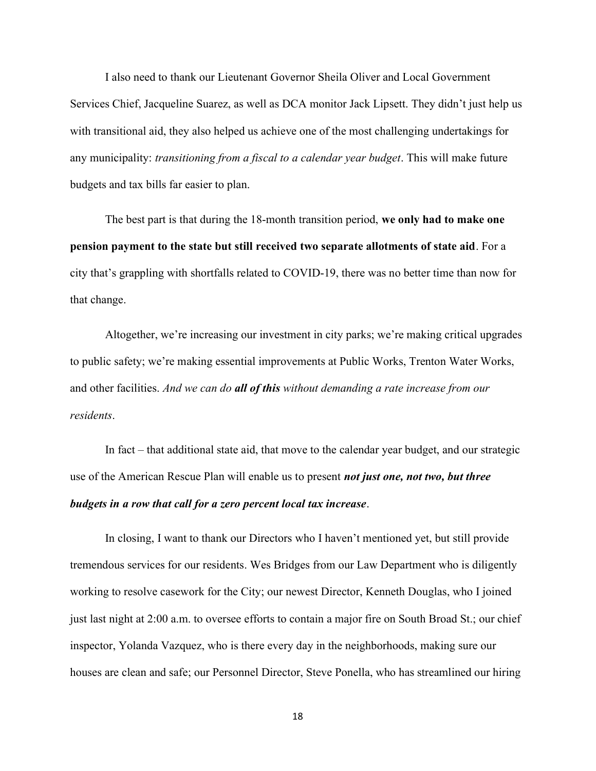I also need to thank our Lieutenant Governor Sheila Oliver and Local Government Services Chief, Jacqueline Suarez, as well as DCA monitor Jack Lipsett. They didn't just help us with transitional aid, they also helped us achieve one of the most challenging undertakings for any municipality: *transitioning from a fiscal to a calendar year budget*. This will make future budgets and tax bills far easier to plan.

The best part is that during the 18-month transition period, we only had to make one pension payment to the state but still received two separate allotments of state aid. For a city that's grappling with shortfalls related to COVID-19, there was no better time than now for that change.

Altogether, we're increasing our investment in city parks; we're making critical upgrades to public safety; we're making essential improvements at Public Works, Trenton Water Works, and other facilities. And we can do all of this without demanding a rate increase from our residents.

In fact – that additional state aid, that move to the calendar year budget, and our strategic use of the American Rescue Plan will enable us to present *not just one*, not two, but three budgets in a row that call for a zero percent local tax increase.

 In closing, I want to thank our Directors who I haven't mentioned yet, but still provide tremendous services for our residents. Wes Bridges from our Law Department who is diligently working to resolve casework for the City; our newest Director, Kenneth Douglas, who I joined just last night at 2:00 a.m. to oversee efforts to contain a major fire on South Broad St.; our chief inspector, Yolanda Vazquez, who is there every day in the neighborhoods, making sure our houses are clean and safe; our Personnel Director, Steve Ponella, who has streamlined our hiring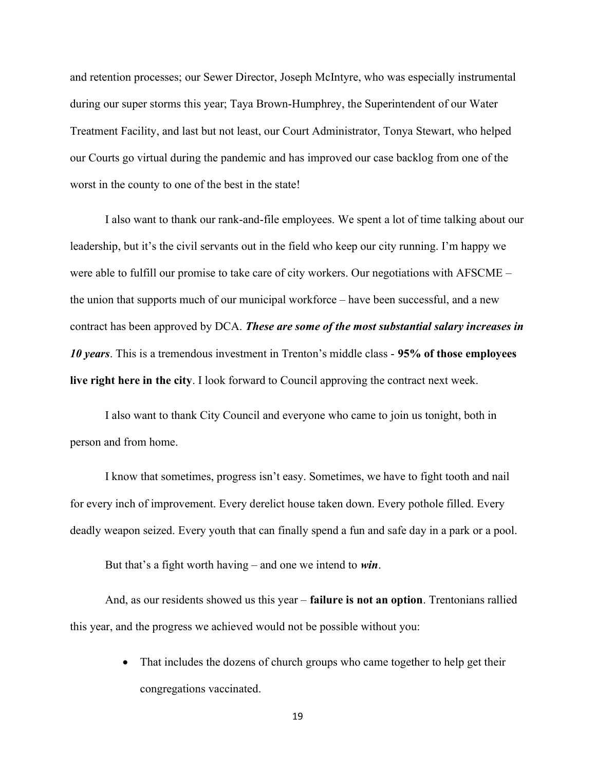and retention processes; our Sewer Director, Joseph McIntyre, who was especially instrumental during our super storms this year; Taya Brown-Humphrey, the Superintendent of our Water Treatment Facility, and last but not least, our Court Administrator, Tonya Stewart, who helped our Courts go virtual during the pandemic and has improved our case backlog from one of the worst in the county to one of the best in the state!

I also want to thank our rank-and-file employees. We spent a lot of time talking about our leadership, but it's the civil servants out in the field who keep our city running. I'm happy we were able to fulfill our promise to take care of city workers. Our negotiations with AFSCME – the union that supports much of our municipal workforce – have been successful, and a new contract has been approved by DCA. These are some of the most substantial salary increases in 10 years. This is a tremendous investment in Trenton's middle class - 95% of those employees live right here in the city. I look forward to Council approving the contract next week.

I also want to thank City Council and everyone who came to join us tonight, both in person and from home.

I know that sometimes, progress isn't easy. Sometimes, we have to fight tooth and nail for every inch of improvement. Every derelict house taken down. Every pothole filled. Every deadly weapon seized. Every youth that can finally spend a fun and safe day in a park or a pool.

But that's a fight worth having – and one we intend to  $win$ .

And, as our residents showed us this year – **failure is not an option**. Trentonians rallied this year, and the progress we achieved would not be possible without you:

> • That includes the dozens of church groups who came together to help get their congregations vaccinated.